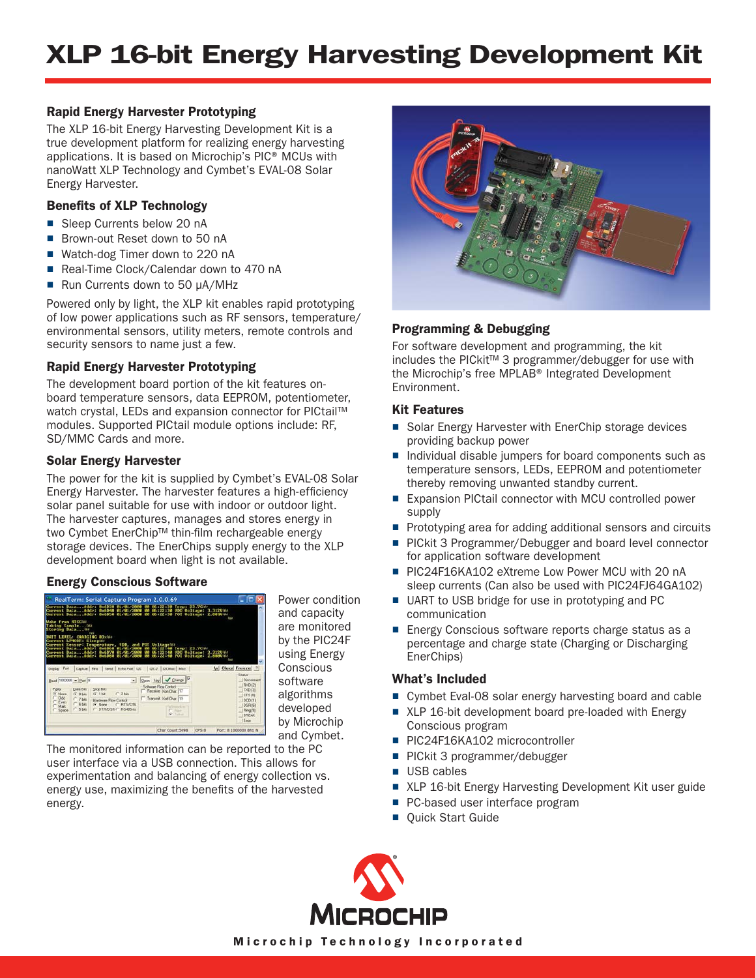## **Rapid Energy Harvester Prototyping**

The XLP 16-bit Energy Harvesting Development Kit is a true development platform for realizing energy harvesting applications. It is based on Microchip's PIC® MCUs with nanoWatt XLP Technology and Cymbet's EVAL-08 Solar Energy Harvester.

# **Benefits of XLP Technology**

- Sleep Currents below 20 nA
- Brown-out Reset down to 50 nA
- Watch-dog Timer down to 220 nA
- Real-Time Clock/Calendar down to 470 nA
- Run Currents down to 50 µA/MHz

Powered only by light, the XLP kit enables rapid prototyping of low power applications such as RF sensors, temperature/ environmental sensors, utility meters, remote controls and security sensors to name just a few.

# **Rapid Energy Harvester Prototyping**

The development board portion of the kit features onboard temperature sensors, data EEPROM, potentiometer, watch crystal, LEDs and expansion connector for PICtail™ modules. Supported PICtail module options include: RF, SD/MMC Cards and more.

## **Solar Energy Harvester**

The power for the kit is supplied by Cymbet's EVAL-08 Solar Energy Harvester. The harvester features a high-efficiency solar panel suitable for use with indoor or outdoor light. The harvester captures, manages and stores energy in two Cymbet EnerChip™ thin-film rechargeable energy storage devices. The EnerChips supply energy to the XLP development board when light is not available.

## **Energy Conscious Software**



Power condition and capacity are monitored by the PIC24F using Energy **Conscious** software algorithms developed by Microchip and Cymbet.

The monitored information can be reported to the PC user interface via a USB connection. This allows for experimentation and balancing of energy collection vs. energy use, maximizing the benefits of the harvested energy.



# **Programming & Debugging**

For software development and programming, the kit includes the PICkit™ 3 programmer/debugger for use with the Microchip's free MPLAB® Integrated Development Environment.

## **Kit Features**

- Solar Energy Harvester with EnerChip storage devices providing backup power
- Individual disable jumpers for board components such as temperature sensors, LEDs, EEPROM and potentiometer thereby removing unwanted standby current.
- Expansion PICtail connector with MCU controlled power supply
- Prototyping area for adding additional sensors and circuits
- PICkit 3 Programmer/Debugger and board level connector for application software development
- PIC24F16KA102 eXtreme Low Power MCU with 20 nA sleep currents (Can also be used with PIC24FJ64GA102)
- UART to USB bridge for use in prototyping and PC communication
- Energy Conscious software reports charge status as a percentage and charge state (Charging or Discharging EnerChips)

## **What's Included**

- Cymbet Eval-08 solar energy harvesting board and cable
- XLP 16-bit development board pre-loaded with Energy Conscious program
- PIC24F16KA102 microcontroller
- PICkit 3 programmer/debugger
- USB cables
- XLP 16-bit Energy Harvesting Development Kit user guide
- PC-based user interface program
- Quick Start Guide